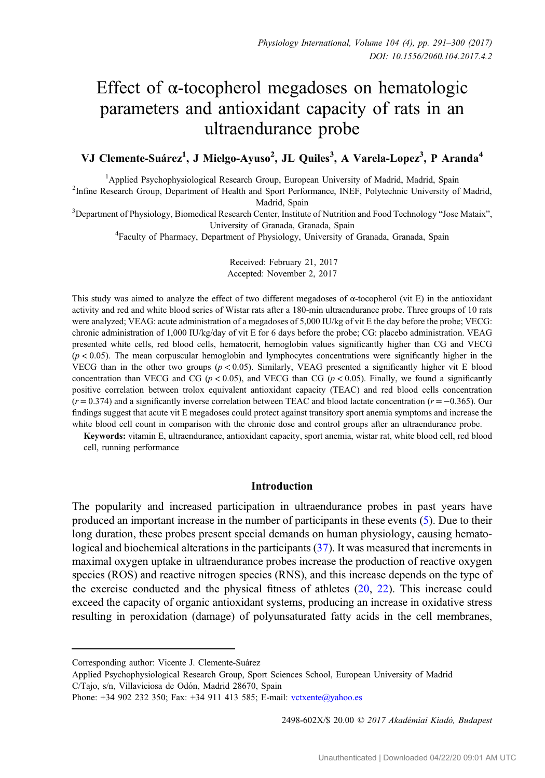# Effect of  $\alpha$ -tocopherol megadoses on hematologic parameters and antioxidant capacity of rats in an ultraendurance probe

# VJ Clemente-Suárez<sup>1</sup>, J Mielgo-Ayuso<sup>2</sup>, JL Quiles<sup>3</sup>, A Varela-Lopez<sup>3</sup>, P Aranda<sup>4</sup>

<sup>1</sup>Applied Psychophysiological Research Group, European University of Madrid, Madrid, Spain Applied Psychophysiological Research Group, European University of Madrid, Madrid, Spain <sup>2</sup> Infine Research Group, Department of Health and Sport Performance, INEF, Polytechnic University of Madrid,

Madrid, Spain<br><sup>3</sup>Department of Physiology, Biomedical Research Center, Institute of Nutrition and Food Technology "Jose Mataix",

University of Granada, Granada, Spain<br><sup>4</sup>Faculty of Pharmacy, Department of Physiology, University of Granada, Granada, Spain

Received: February 21, 2017 Accepted: November 2, 2017

This study was aimed to analyze the effect of two different megadoses of  $\alpha$ -tocopherol (vit E) in the antioxidant activity and red and white blood series of Wistar rats after a 180-min ultraendurance probe. Three groups of 10 rats were analyzed; VEAG: acute administration of a megadoses of 5,000 IU/kg of vit E the day before the probe; VECG: chronic administration of 1,000 IU/kg/day of vit E for 6 days before the probe; CG: placebo administration. VEAG presented white cells, red blood cells, hematocrit, hemoglobin values significantly higher than CG and VECG  $(p < 0.05)$ . The mean corpuscular hemoglobin and lymphocytes concentrations were significantly higher in the VECG than in the other two groups ( $p < 0.05$ ). Similarly, VEAG presented a significantly higher vit E blood concentration than VECG and CG ( $p < 0.05$ ), and VECG than CG ( $p < 0.05$ ). Finally, we found a significantly positive correlation between trolox equivalent antioxidant capacity (TEAC) and red blood cells concentration  $(r = 0.374)$  and a significantly inverse correlation between TEAC and blood lactate concentration  $(r = -0.365)$ . Our findings suggest that acute vit E megadoses could protect against transitory sport anemia symptoms and increase the white blood cell count in comparison with the chronic dose and control groups after an ultraendurance probe.

Keywords: vitamin E, ultraendurance, antioxidant capacity, sport anemia, wistar rat, white blood cell, red blood cell, running performance

### **Introduction**

The popularity and increased participation in ultraendurance probes in past years have produced an important increase in the number of participants in these events ([5\)](#page-8-0). Due to their long duration, these probes present special demands on human physiology, causing hematological and biochemical alterations in the participants ([37\)](#page-9-0). It was measured that increments in maximal oxygen uptake in ultraendurance probes increase the production of reactive oxygen species (ROS) and reactive nitrogen species (RNS), and this increase depends on the type of the exercise conducted and the physical fitness of athletes ([20,](#page-8-0) [22\)](#page-8-0). This increase could exceed the capacity of organic antioxidant systems, producing an increase in oxidative stress resulting in peroxidation (damage) of polyunsaturated fatty acids in the cell membranes,

Applied Psychophysiological Research Group, Sport Sciences School, European University of Madrid C/Tajo, s/n, Villaviciosa de Odón, Madrid 28670, Spain

2498-602X/\$ 20.00 C 2017 Akadémiai Kiadó, Budapest

Corresponding author: Vicente J. Clemente-Suárez

Phone: +34 902 232 350; Fax: +34 911 413 585; E-mail: [vctxente@yahoo.es](mailto:vctxente@yahoo.es)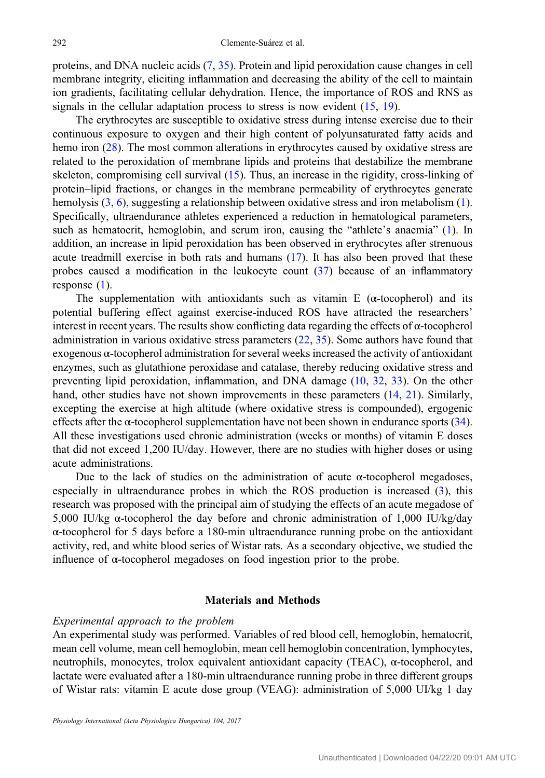proteins, and DNA nucleic acids ([7,](#page-8-0) [35\)](#page-9-0). Protein and lipid peroxidation cause changes in cell membrane integrity, eliciting inflammation and decreasing the ability of the cell to maintain ion gradients, facilitating cellular dehydration. Hence, the importance of ROS and RNS as signals in the cellular adaptation process to stress is now evident  $(15, 19)$  $(15, 19)$  $(15, 19)$  $(15, 19)$ .

The erythrocytes are susceptible to oxidative stress during intense exercise due to their continuous exposure to oxygen and their high content of polyunsaturated fatty acids and hemo iron ([28\)](#page-9-0). The most common alterations in erythrocytes caused by oxidative stress are related to the peroxidation of membrane lipids and proteins that destabilize the membrane skeleton, compromising cell survival [\(15](#page-8-0)). Thus, an increase in the rigidity, cross-linking of protein–lipid fractions, or changes in the membrane permeability of erythrocytes generate hemolysis  $(3, 6)$  $(3, 6)$  $(3, 6)$  $(3, 6)$ , suggesting a relationship between oxidative stress and iron metabolism [\(1](#page-8-0)). Specifically, ultraendurance athletes experienced a reduction in hematological parameters, such as hematocrit, hemoglobin, and serum iron, causing the "athlete's anaemia" ([1\)](#page-8-0). In addition, an increase in lipid peroxidation has been observed in erythrocytes after strenuous acute treadmill exercise in both rats and humans ([17\)](#page-8-0). It has also been proved that these probes caused a modification in the leukocyte count  $(37)$  $(37)$  $(37)$  because of an inflammatory response [\(1](#page-8-0)).

The supplementation with antioxidants such as vitamin E ( $\alpha$ -tocopherol) and its potential buffering effect against exercise-induced ROS have attracted the researchers' interest in recent years. The results show conflicting data regarding the effects of α-tocopherol administration in various oxidative stress parameters ([22,](#page-8-0) [35\)](#page-9-0). Some authors have found that exogenous α-tocopherol administration for several weeks increased the activity of antioxidant enzymes, such as glutathione peroxidase and catalase, thereby reducing oxidative stress and preventing lipid peroxidation, inflammation, and DNA damage ([10,](#page-8-0) [32,](#page-9-0) [33\)](#page-9-0). On the other hand, other studies have not shown improvements in these parameters ([14,](#page-8-0) [21\)](#page-8-0). Similarly, excepting the exercise at high altitude (where oxidative stress is compounded), ergogenic effects after the  $\alpha$ -tocopherol supplementation have not been shown in endurance sports [\(34](#page-9-0)). All these investigations used chronic administration (weeks or months) of vitamin E doses that did not exceed 1,200 IU/day. However, there are no studies with higher doses or using acute administrations.

Due to the lack of studies on the administration of acute  $\alpha$ -tocopherol megadoses, especially in ultraendurance probes in which the ROS production is increased [\(3](#page-8-0)), this research was proposed with the principal aim of studying the effects of an acute megadose of 5,000 IU/kg  $\alpha$ -tocopherol the day before and chronic administration of 1,000 IU/kg/day α-tocopherol for 5 days before a 180-min ultraendurance running probe on the antioxidant activity, red, and white blood series of Wistar rats. As a secondary objective, we studied the influence of α-tocopherol megadoses on food ingestion prior to the probe.

# Materials and Methods

#### Experimental approach to the problem

An experimental study was performed. Variables of red blood cell, hemoglobin, hematocrit, mean cell volume, mean cell hemoglobin, mean cell hemoglobin concentration, lymphocytes, neutrophils, monocytes, trolox equivalent antioxidant capacity (TEAC), α-tocopherol, and lactate were evaluated after a 180-min ultraendurance running probe in three different groups of Wistar rats: vitamin E acute dose group (VEAG): administration of 5,000 UI/kg 1 day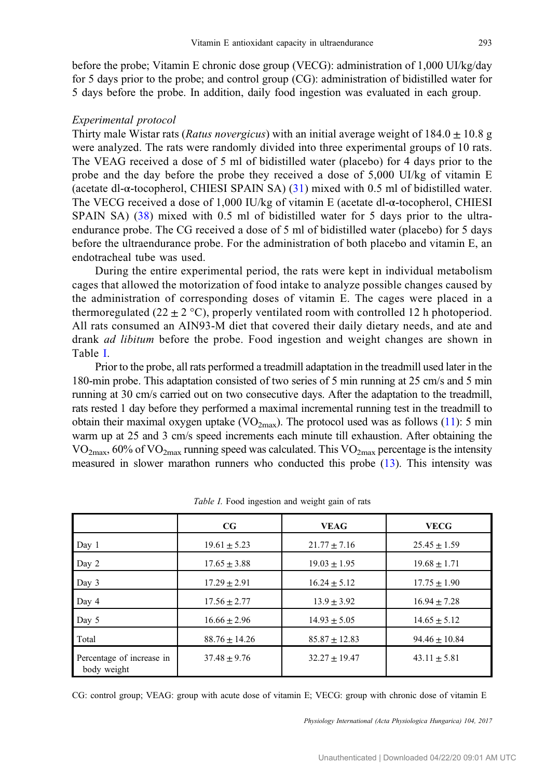<span id="page-2-0"></span>before the probe; Vitamin E chronic dose group (VECG): administration of 1,000 UI/kg/day for 5 days prior to the probe; and control group (CG): administration of bidistilled water for 5 days before the probe. In addition, daily food ingestion was evaluated in each group.

#### Experimental protocol

Thirty male Wistar rats (Ratus novergicus) with an initial average weight of  $184.0 + 10.8$  g were analyzed. The rats were randomly divided into three experimental groups of 10 rats. The VEAG received a dose of 5 ml of bidistilled water (placebo) for 4 days prior to the probe and the day before the probe they received a dose of 5,000 UI/kg of vitamin E (acetate dl-α-tocopherol, CHIESI SPAIN SA) ([31](#page-9-0)) mixed with 0.5 ml of bidistilled water. The VECG received a dose of 1,000 IU/kg of vitamin E (acetate dl-α-tocopherol, CHIESI SPAIN SA) [\(38\)](#page-9-0) mixed with 0.5 ml of bidistilled water for 5 days prior to the ultraendurance probe. The CG received a dose of 5 ml of bidistilled water (placebo) for 5 days before the ultraendurance probe. For the administration of both placebo and vitamin E, an endotracheal tube was used.

During the entire experimental period, the rats were kept in individual metabolism cages that allowed the motorization of food intake to analyze possible changes caused by the administration of corresponding doses of vitamin E. The cages were placed in a thermoregulated  $(22 \pm 2 \degree C)$ , properly ventilated room with controlled 12 h photoperiod. All rats consumed an AIN93-M diet that covered their daily dietary needs, and ate and drank *ad libitum* before the probe. Food ingestion and weight changes are shown in Table I.

Prior to the probe, all rats performed a treadmill adaptation in the treadmill used later in the 180-min probe. This adaptation consisted of two series of 5 min running at 25 cm/s and 5 min running at 30 cm/s carried out on two consecutive days. After the adaptation to the treadmill, rats rested 1 day before they performed a maximal incremental running test in the treadmill to obtain their maximal oxygen uptake (VO<sub>2max</sub>). The protocol used was as follows [\(11](#page-8-0)): 5 min warm up at 25 and 3 cm/s speed increments each minute till exhaustion. After obtaining the  $VO<sub>2max</sub>$ , 60% of  $VO<sub>2max</sub>$  running speed was calculated. This  $VO<sub>2max</sub>$  percentage is the intensity measured in slower marathon runners who conducted this probe ([13](#page-8-0)). This intensity was

|                                          | $_{\rm CG}$      | <b>VEAG</b>     | <b>VECG</b>      |
|------------------------------------------|------------------|-----------------|------------------|
| Day 1                                    | $19.61 + 5.23$   | $21.77 + 7.16$  | $25.45 + 1.59$   |
| Day 2                                    | $17.65 \pm 3.88$ | $19.03 + 1.95$  | $19.68 \pm 1.71$ |
| Day 3                                    | $17.29 + 2.91$   | $16.24 + 5.12$  | $17.75 + 1.90$   |
| Day 4                                    | $17.56 \pm 2.77$ | $13.9 + 3.92$   | $16.94 + 7.28$   |
| Day 5                                    | $16.66 \pm 2.96$ | $14.93 + 5.05$  | $14.65 \pm 5.12$ |
| Total                                    | $88.76 + 14.26$  | $85.87 + 12.83$ | $94.46 + 10.84$  |
| Percentage of increase in<br>body weight | $37.48 + 9.76$   | $32.27 + 19.47$ | $43.11 \pm 5.81$ |

Table I. Food ingestion and weight gain of rats

CG: control group; VEAG: group with acute dose of vitamin E; VECG: group with chronic dose of vitamin E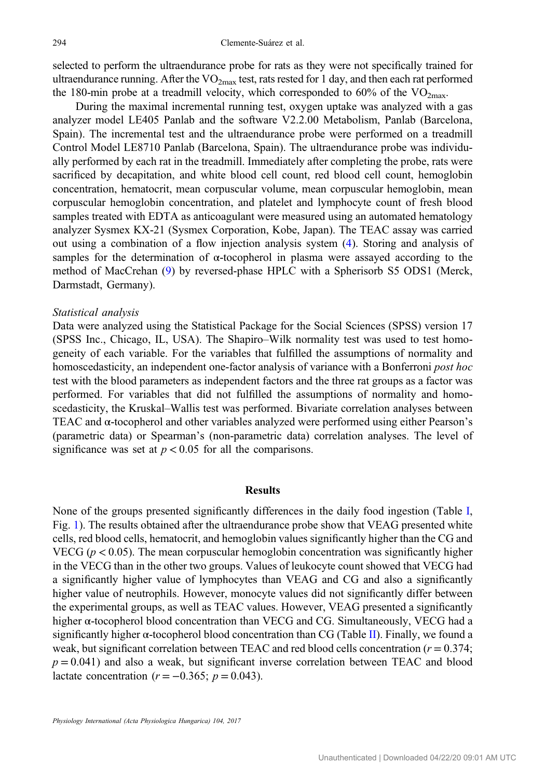selected to perform the ultraendurance probe for rats as they were not specifically trained for ultraendurance running. After the  $VO<sub>2max</sub>$  test, rats rested for 1 day, and then each rat performed the 180-min probe at a treadmill velocity, which corresponded to 60% of the  $VO<sub>2max</sub>$ .

During the maximal incremental running test, oxygen uptake was analyzed with a gas analyzer model LE405 Panlab and the software V2.2.00 Metabolism, Panlab (Barcelona, Spain). The incremental test and the ultraendurance probe were performed on a treadmill Control Model LE8710 Panlab (Barcelona, Spain). The ultraendurance probe was individually performed by each rat in the treadmill. Immediately after completing the probe, rats were sacrificed by decapitation, and white blood cell count, red blood cell count, hemoglobin concentration, hematocrit, mean corpuscular volume, mean corpuscular hemoglobin, mean corpuscular hemoglobin concentration, and platelet and lymphocyte count of fresh blood samples treated with EDTA as anticoagulant were measured using an automated hematology analyzer Sysmex KX-21 (Sysmex Corporation, Kobe, Japan). The TEAC assay was carried out using a combination of a flow injection analysis system [\(4](#page-8-0)). Storing and analysis of samples for the determination of  $\alpha$ -tocopherol in plasma were assayed according to the method of MacCrehan ([9\)](#page-8-0) by reversed-phase HPLC with a Spherisorb S5 ODS1 (Merck, Darmstadt, Germany).

#### Statistical analysis

Data were analyzed using the Statistical Package for the Social Sciences (SPSS) version 17 (SPSS Inc., Chicago, IL, USA). The Shapiro–Wilk normality test was used to test homogeneity of each variable. For the variables that fulfilled the assumptions of normality and homoscedasticity, an independent one-factor analysis of variance with a Bonferroni post hoc test with the blood parameters as independent factors and the three rat groups as a factor was performed. For variables that did not fulfilled the assumptions of normality and homoscedasticity, the Kruskal–Wallis test was performed. Bivariate correlation analyses between TEAC and α-tocopherol and other variables analyzed were performed using either Pearson's (parametric data) or Spearman's (non-parametric data) correlation analyses. The level of significance was set at  $p < 0.05$  for all the comparisons.

#### Results

None of the groups presented significantly differences in the daily food ingestion (Table [I,](#page-2-0) Fig. [1](#page-4-0)). The results obtained after the ultraendurance probe show that VEAG presented white cells, red blood cells, hematocrit, and hemoglobin values significantly higher than the CG and VECG ( $p < 0.05$ ). The mean corpuscular hemoglobin concentration was significantly higher in the VECG than in the other two groups. Values of leukocyte count showed that VECG had a significantly higher value of lymphocytes than VEAG and CG and also a significantly higher value of neutrophils. However, monocyte values did not significantly differ between the experimental groups, as well as TEAC values. However, VEAG presented a significantly higher  $\alpha$ -tocopherol blood concentration than VECG and CG. Simultaneously, VECG had a significantly higher  $\alpha$ -tocopherol blood concentration than CG (Table [II\)](#page-5-0). Finally, we found a weak, but significant correlation between TEAC and red blood cells concentration  $(r = 0.374)$ ;  $p = 0.041$ ) and also a weak, but significant inverse correlation between TEAC and blood lactate concentration ( $r = -0.365$ ;  $p = 0.043$ ).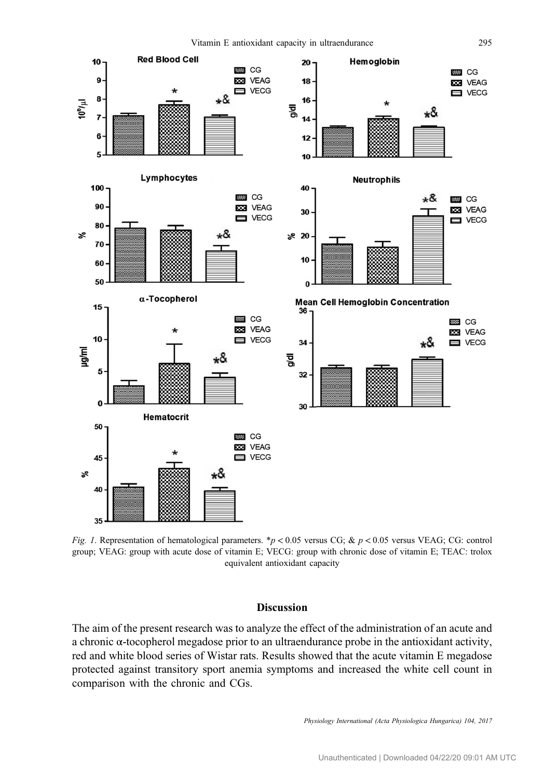<span id="page-4-0"></span>

Fig. 1. Representation of hematological parameters. \*p < 0.05 versus CG; & p < 0.05 versus VEAG; CG: control group; VEAG: group with acute dose of vitamin E; VECG: group with chronic dose of vitamin E; TEAC: trolox equivalent antioxidant capacity

# Discussion

The aim of the present research was to analyze the effect of the administration of an acute and a chronic α-tocopherol megadose prior to an ultraendurance probe in the antioxidant activity, red and white blood series of Wistar rats. Results showed that the acute vitamin E megadose protected against transitory sport anemia symptoms and increased the white cell count in comparison with the chronic and CGs.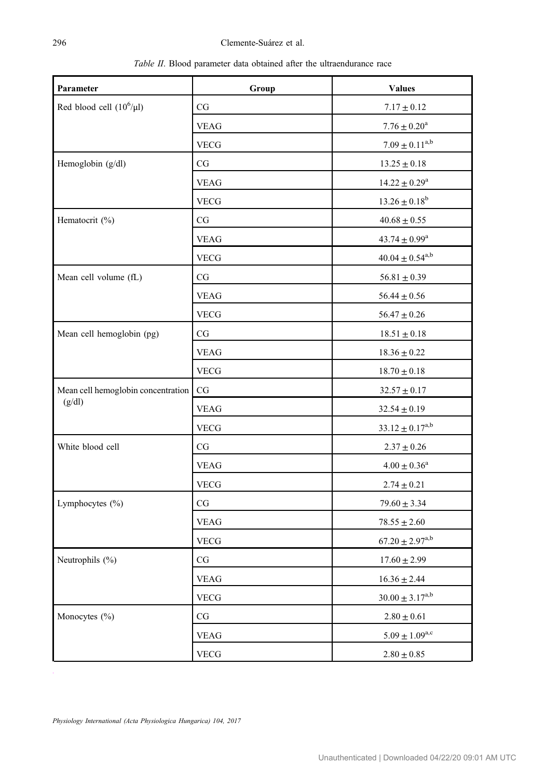Table II. Blood parameter data obtained after the ultraendurance race

<span id="page-5-0"></span>

| Parameter                          | Group       | <b>Values</b>            |
|------------------------------------|-------------|--------------------------|
| Red blood cell $(10^6/\mu l)$      | CG          | $7.17 \pm 0.12$          |
|                                    | <b>VEAG</b> | $7.76\pm0.20^{\rm a}$    |
|                                    | <b>VECG</b> | $7.09 \pm 0.11^{a,b}$    |
| Hemoglobin (g/dl)                  | CG          | $13.25 \pm 0.18$         |
|                                    | <b>VEAG</b> | $14.22\pm0.29^{\rm a}$   |
|                                    | <b>VECG</b> | $13.26 \pm 0.18^b$       |
| Hematocrit (%)                     | CG          | $40.68\pm0.55$           |
|                                    | <b>VEAG</b> | $43.74 \pm 0.99^{\rm a}$ |
|                                    | <b>VECG</b> | $40.04 \pm 0.54^{a,b}$   |
| Mean cell volume (fL)              | CG          | $56.81 \pm 0.39$         |
|                                    | <b>VEAG</b> | $56.44 \pm 0.56$         |
|                                    | <b>VECG</b> | $56.47 \pm 0.26$         |
| Mean cell hemoglobin (pg)          | CG          | $18.51 \pm 0.18$         |
|                                    | <b>VEAG</b> | $18.36\pm0.22$           |
|                                    | <b>VECG</b> | $18.70 \pm 0.18$         |
| Mean cell hemoglobin concentration | CG          | $32.57 \pm 0.17$         |
| (g/dl)                             | VEAG        | $32.54 \pm 0.19$         |
|                                    | <b>VECG</b> | $33.12 \pm 0.17^{a,b}$   |
| White blood cell                   | CG          | $2.37 \pm 0.26$          |
|                                    | <b>VEAG</b> | $4.00\pm0.36^{\rm a}$    |
|                                    | <b>VECG</b> | $2.74\pm0.21$            |
| Lymphocytes (%)                    | CG          | $79.60 \pm 3.34$         |
|                                    | <b>VEAG</b> | $78.55 \pm 2.60$         |
|                                    | <b>VECG</b> | $67.20 \pm 2.97^{a,b}$   |
| Neutrophils (%)                    | CG          | $17.60 \pm 2.99$         |
|                                    | <b>VEAG</b> | $16.36 \pm 2.44$         |
|                                    | <b>VECG</b> | $30.00 \pm 3.17^{a,b}$   |
| Monocytes (%)                      | CG          | $2.80 \pm 0.61$          |
|                                    | <b>VEAG</b> | $5.09 \pm 1.09^{a,c}$    |
|                                    | <b>VECG</b> | $2.80\pm0.85$            |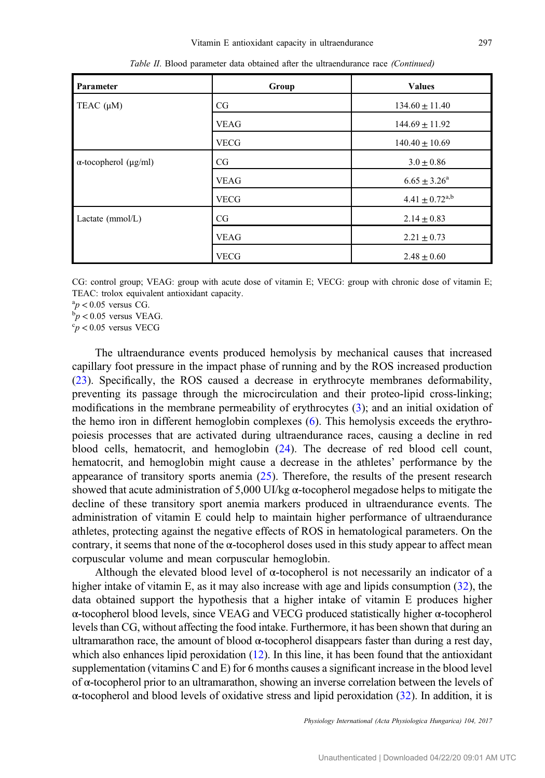| Parameter                          | Group       | <b>Values</b>                  |
|------------------------------------|-------------|--------------------------------|
| TEAC $(\mu M)$                     | CG          | $134.60 \pm 11.40$             |
|                                    | <b>VEAG</b> | $144.69 \pm 11.92$             |
|                                    | <b>VECG</b> | $140.40 \pm 10.69$             |
| $\alpha$ -tocopherol ( $\mu$ g/ml) | CG          | $3.0 \pm 0.86$                 |
|                                    | <b>VEAG</b> | $6.65 \pm 3.26^a$              |
|                                    | <b>VECG</b> | $4.41 \pm 0.72$ <sup>a,b</sup> |
| Lactate $(mmol/L)$                 | CG          | $2.14 \pm 0.83$                |
|                                    | <b>VEAG</b> | $2.21 \pm 0.73$                |
|                                    | <b>VECG</b> | $2.48 \pm 0.60$                |

Table II. Blood parameter data obtained after the ultraendurance race (Continued)

CG: control group; VEAG: group with acute dose of vitamin E; VECG: group with chronic dose of vitamin E; TEAC: trolox equivalent antioxidant capacity.

 ${}^{a}p$  < 0.05 versus CG.<br> ${}^{b}n$  < 0.05 versus VE.

ſ

 $p < 0.05$  versus VEAG.

 $\degree p$  < 0.05 versus VECG

The ultraendurance events produced hemolysis by mechanical causes that increased capillary foot pressure in the impact phase of running and by the ROS increased production [\(23](#page-9-0)). Specifically, the ROS caused a decrease in erythrocyte membranes deformability, preventing its passage through the microcirculation and their proteo-lipid cross-linking; modifications in the membrane permeability of erythrocytes ([3\)](#page-8-0); and an initial oxidation of the hemo iron in different hemoglobin complexes [\(6](#page-8-0)). This hemolysis exceeds the erythropoiesis processes that are activated during ultraendurance races, causing a decline in red blood cells, hematocrit, and hemoglobin ([24\)](#page-9-0). The decrease of red blood cell count, hematocrit, and hemoglobin might cause a decrease in the athletes' performance by the appearance of transitory sports anemia ([25](#page-9-0)). Therefore, the results of the present research showed that acute administration of 5,000 UI/kg  $\alpha$ -tocopherol megadose helps to mitigate the decline of these transitory sport anemia markers produced in ultraendurance events. The administration of vitamin E could help to maintain higher performance of ultraendurance athletes, protecting against the negative effects of ROS in hematological parameters. On the contrary, it seems that none of the  $\alpha$ -tocopherol doses used in this study appear to affect mean corpuscular volume and mean corpuscular hemoglobin.

Although the elevated blood level of  $\alpha$ -tocopherol is not necessarily an indicator of a higher intake of vitamin E, as it may also increase with age and lipids consumption ([32\)](#page-9-0), the data obtained support the hypothesis that a higher intake of vitamin E produces higher α-tocopherol blood levels, since VEAG and VECG produced statistically higher α-tocopherol levels than CG, without affecting the food intake. Furthermore, it has been shown that during an ultramarathon race, the amount of blood  $α$ -tocopherol disappears faster than during a rest day, which also enhances lipid peroxidation  $(12)$  $(12)$ . In this line, it has been found that the antioxidant supplementation (vitamins C and E) for 6 months causes a significant increase in the blood level of α-tocopherol prior to an ultramarathon, showing an inverse correlation between the levels of α-tocopherol and blood levels of oxidative stress and lipid peroxidation [\(32](#page-9-0)). In addition, it is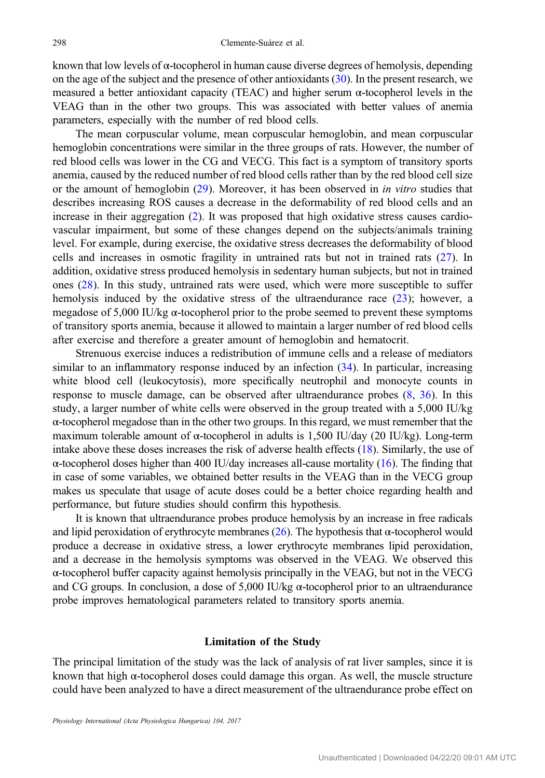known that low levels of α-tocopherol in human cause diverse degrees of hemolysis, depending on the age of the subject and the presence of other antioxidants ([30\)](#page-9-0). In the present research, we measured a better antioxidant capacity (TEAC) and higher serum α-tocopherol levels in the VEAG than in the other two groups. This was associated with better values of anemia parameters, especially with the number of red blood cells.

The mean corpuscular volume, mean corpuscular hemoglobin, and mean corpuscular hemoglobin concentrations were similar in the three groups of rats. However, the number of red blood cells was lower in the CG and VECG. This fact is a symptom of transitory sports anemia, caused by the reduced number of red blood cells rather than by the red blood cell size or the amount of hemoglobin [\(29](#page-9-0)). Moreover, it has been observed in in vitro studies that describes increasing ROS causes a decrease in the deformability of red blood cells and an increase in their aggregation [\(2](#page-8-0)). It was proposed that high oxidative stress causes cardiovascular impairment, but some of these changes depend on the subjects/animals training level. For example, during exercise, the oxidative stress decreases the deformability of blood cells and increases in osmotic fragility in untrained rats but not in trained rats ([27\)](#page-9-0). In addition, oxidative stress produced hemolysis in sedentary human subjects, but not in trained ones [\(28](#page-9-0)). In this study, untrained rats were used, which were more susceptible to suffer hemolysis induced by the oxidative stress of the ultraendurance race [\(23](#page-9-0)); however, a megadose of 5,000 IU/kg  $\alpha$ -tocopherol prior to the probe seemed to prevent these symptoms of transitory sports anemia, because it allowed to maintain a larger number of red blood cells after exercise and therefore a greater amount of hemoglobin and hematocrit.

Strenuous exercise induces a redistribution of immune cells and a release of mediators similar to an inflammatory response induced by an infection  $(34)$  $(34)$ . In particular, increasing white blood cell (leukocytosis), more specifically neutrophil and monocyte counts in response to muscle damage, can be observed after ultraendurance probes [\(8](#page-8-0), [36\)](#page-9-0). In this study, a larger number of white cells were observed in the group treated with a 5,000 IU/kg α-tocopherol megadose than in the other two groups. In this regard, we must remember that the maximum tolerable amount of  $\alpha$ -tocopherol in adults is 1,500 IU/day (20 IU/kg). Long-term intake above these doses increases the risk of adverse health effects ([18](#page-8-0)). Similarly, the use of α-tocopherol doses higher than 400 IU/day increases all-cause mortality [\(16](#page-8-0)). The finding that in case of some variables, we obtained better results in the VEAG than in the VECG group makes us speculate that usage of acute doses could be a better choice regarding health and performance, but future studies should confirm this hypothesis.

It is known that ultraendurance probes produce hemolysis by an increase in free radicals and lipid peroxidation of erythrocyte membranes  $(26)$  $(26)$  $(26)$ . The hypothesis that  $\alpha$ -tocopherol would produce a decrease in oxidative stress, a lower erythrocyte membranes lipid peroxidation, and a decrease in the hemolysis symptoms was observed in the VEAG. We observed this  $\alpha$ -tocopherol buffer capacity against hemolysis principally in the VEAG, but not in the VECG and CG groups. In conclusion, a dose of 5,000 IU/kg  $\alpha$ -tocopherol prior to an ultraendurance probe improves hematological parameters related to transitory sports anemia.

# Limitation of the Study

The principal limitation of the study was the lack of analysis of rat liver samples, since it is known that high  $\alpha$ -tocopherol doses could damage this organ. As well, the muscle structure could have been analyzed to have a direct measurement of the ultraendurance probe effect on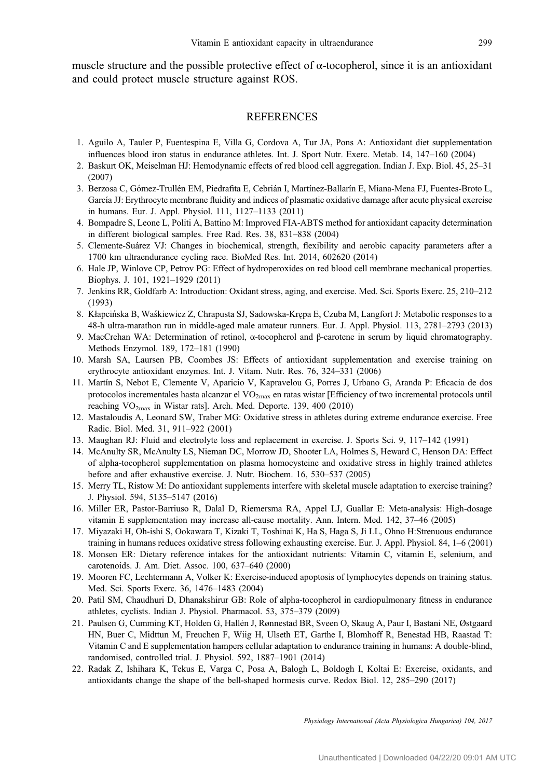<span id="page-8-0"></span>muscle structure and the possible protective effect of  $\alpha$ -tocopherol, since it is an antioxidant and could protect muscle structure against ROS.

# **REFERENCES**

- 1. Aguilo A, Tauler P, Fuentespina E, Villa G, Cordova A, Tur JA, Pons A: Antioxidant diet supplementation influences blood iron status in endurance athletes. Int. J. Sport Nutr. Exerc. Metab. 14, 147–160 (2004)
- 2. Baskurt OK, Meiselman HJ: Hemodynamic effects of red blood cell aggregation. Indian J. Exp. Biol. 45, 25–31 (2007)
- 3. Berzosa C, Gómez-Trullén EM, Piedrafita E, Cebrián I, Martínez-Ballarín E, Miana-Mena FJ, Fuentes-Broto L, García JJ: Erythrocyte membrane fluidity and indices of plasmatic oxidative damage after acute physical exercise in humans. Eur. J. Appl. Physiol. 111, 1127–1133 (2011)
- 4. Bompadre S, Leone L, Politi A, Battino M: Improved FIA-ABTS method for antioxidant capacity determination in different biological samples. Free Rad. Res. 38, 831–838 (2004)
- 5. Clemente-Suárez VJ: Changes in biochemical, strength, flexibility and aerobic capacity parameters after a 1700 km ultraendurance cycling race. BioMed Res. Int. 2014, 602620 (2014)
- 6. Hale JP, Winlove CP, Petrov PG: Effect of hydroperoxides on red blood cell membrane mechanical properties. Biophys. J. 101, 1921–1929 (2011)
- 7. Jenkins RR, Goldfarb A: Introduction: Oxidant stress, aging, and exercise. Med. Sci. Sports Exerc. 25, 210–212 (1993)
- 8. Kłapcińska B, Waśkiewicz Z, Chrapusta SJ, Sadowska-Krępa E, Czuba M, Langfort J: Metabolic responses to a 48-h ultra-marathon run in middle-aged male amateur runners. Eur. J. Appl. Physiol. 113, 2781–2793 (2013)
- 9. MacCrehan WA: Determination of retinol, α-tocopherol and β-carotene in serum by liquid chromatography. Methods Enzymol. 189, 172–181 (1990)
- 10. Marsh SA, Laursen PB, Coombes JS: Effects of antioxidant supplementation and exercise training on erythrocyte antioxidant enzymes. Int. J. Vitam. Nutr. Res. 76, 324–331 (2006)
- 11. Martín S, Nebot E, Clemente V, Aparicio V, Kapravelou G, Porres J, Urbano G, Aranda P: Eficacia de dos protocolos incrementales hasta alcanzar el VO2max en ratas wistar [Efficiency of two incremental protocols until reaching  $VO<sub>2max</sub>$  in Wistar rats]. Arch. Med. Deporte. 139, 400 (2010)
- 12. Mastaloudis A, Leonard SW, Traber MG: Oxidative stress in athletes during extreme endurance exercise. Free Radic. Biol. Med. 31, 911–922 (2001)
- 13. Maughan RJ: Fluid and electrolyte loss and replacement in exercise. J. Sports Sci. 9, 117–142 (1991)
- 14. McAnulty SR, McAnulty LS, Nieman DC, Morrow JD, Shooter LA, Holmes S, Heward C, Henson DA: Effect of alpha-tocopherol supplementation on plasma homocysteine and oxidative stress in highly trained athletes before and after exhaustive exercise. J. Nutr. Biochem. 16, 530–537 (2005)
- 15. Merry TL, Ristow M: Do antioxidant supplements interfere with skeletal muscle adaptation to exercise training? J. Physiol. 594, 5135–5147 (2016)
- 16. Miller ER, Pastor-Barriuso R, Dalal D, Riemersma RA, Appel LJ, Guallar E: Meta-analysis: High-dosage vitamin E supplementation may increase all-cause mortality. Ann. Intern. Med. 142, 37–46 (2005)
- 17. Miyazaki H, Oh-ishi S, Ookawara T, Kizaki T, Toshinai K, Ha S, Haga S, Ji LL, Ohno H:Strenuous endurance training in humans reduces oxidative stress following exhausting exercise. Eur. J. Appl. Physiol. 84, 1–6 (2001)
- 18. Monsen ER: Dietary reference intakes for the antioxidant nutrients: Vitamin C, vitamin E, selenium, and carotenoids. J. Am. Diet. Assoc. 100, 637–640 (2000)
- 19. Mooren FC, Lechtermann A, Volker K: Exercise-induced apoptosis of lymphocytes depends on training status. Med. Sci. Sports Exerc. 36, 1476–1483 (2004)
- 20. Patil SM, Chaudhuri D, Dhanakshirur GB: Role of alpha-tocopherol in cardiopulmonary fitness in endurance athletes, cyclists. Indian J. Physiol. Pharmacol. 53, 375–379 (2009)
- 21. Paulsen G, Cumming KT, Holden G, Hallén J, Rønnestad BR, Sveen O, Skaug A, Paur I, Bastani NE, Østgaard HN, Buer C, Midttun M, Freuchen F, Wiig H, Ulseth ET, Garthe I, Blomhoff R, Benestad HB, Raastad T: Vitamin C and E supplementation hampers cellular adaptation to endurance training in humans: A double-blind, randomised, controlled trial. J. Physiol. 592, 1887–1901 (2014)
- 22. Radak Z, Ishihara K, Tekus E, Varga C, Posa A, Balogh L, Boldogh I, Koltai E: Exercise, oxidants, and antioxidants change the shape of the bell-shaped hormesis curve. Redox Biol. 12, 285–290 (2017)